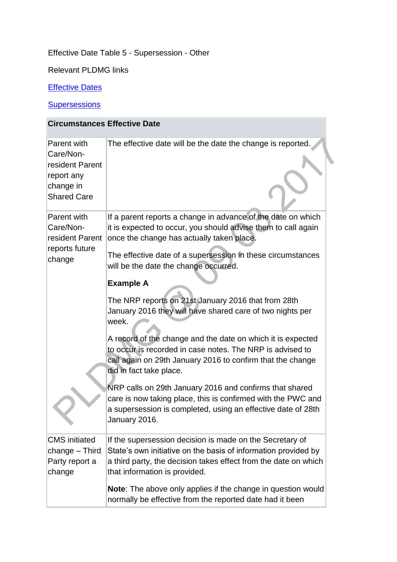## Effective Date Table 5 - Supersession - Other

Relevant PLDMG links

## **[Effective Dates](http://np-cmg-sharepoint.link2.gpn.gov.uk/sites/policy-law-and-decision-making-guidance/Pages/Effective%20Dates/Effective-Dates.aspx)**

## **[Supersessions](http://np-cmg-sharepoint.link2.gpn.gov.uk/sites/policy-law-and-decision-making-guidance/Pages/Supersessions/Supersessions.aspx)**

| <b>Circumstances Effective Date</b>                                                          |                                                                                                                                                                                                                                |  |
|----------------------------------------------------------------------------------------------|--------------------------------------------------------------------------------------------------------------------------------------------------------------------------------------------------------------------------------|--|
| Parent with<br>Care/Non-<br>resident Parent<br>report any<br>change in<br><b>Shared Care</b> | The effective date will be the date the change is reported.                                                                                                                                                                    |  |
| Parent with<br>Care/Non-<br>resident Parent<br>reports future<br>change                      | If a parent reports a change in advance of the date on which<br>it is expected to occur, you should advise them to call again<br>once the change has actually taken place.                                                     |  |
|                                                                                              | The effective date of a supersession in these circumstances<br>will be the date the change occurred.<br><b>Example A</b><br>The NRP reports on 21st January 2016 that from 28th                                                |  |
|                                                                                              | January 2016 they will have shared care of two nights per<br>week.<br>A record of the change and the date on which it is expected<br>to occur is recorded in case notes. The NRP is advised to                                 |  |
|                                                                                              | call again on 29th January 2016 to confirm that the change<br>did in fact take place.                                                                                                                                          |  |
|                                                                                              | NRP calls on 29th January 2016 and confirms that shared<br>care is now taking place, this is confirmed with the PWC and<br>a supersession is completed, using an effective date of 28th<br>January 2016.                       |  |
| <b>CMS</b> initiated<br>change - Third<br>Party report a<br>change                           | If the supersession decision is made on the Secretary of<br>State's own initiative on the basis of information provided by<br>a third party, the decision takes effect from the date on which<br>that information is provided. |  |
|                                                                                              | Note: The above only applies if the change in question would<br>normally be effective from the reported date had it been                                                                                                       |  |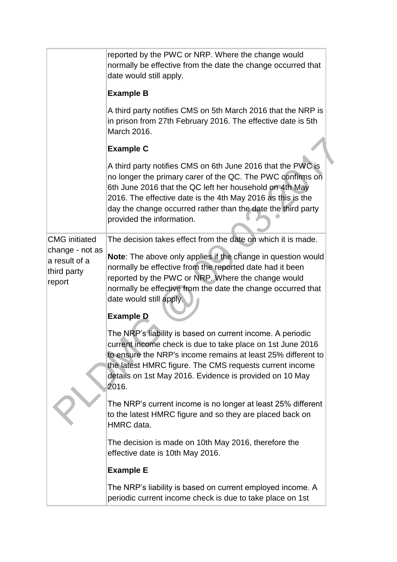|                                                           | reported by the PWC or NRP. Where the change would<br>normally be effective from the date the change occurred that<br>date would still apply.                                                                                                                                                                                                    |  |
|-----------------------------------------------------------|--------------------------------------------------------------------------------------------------------------------------------------------------------------------------------------------------------------------------------------------------------------------------------------------------------------------------------------------------|--|
|                                                           | <b>Example B</b>                                                                                                                                                                                                                                                                                                                                 |  |
|                                                           | A third party notifies CMS on 5th March 2016 that the NRP is<br>in prison from 27th February 2016. The effective date is 5th<br>March 2016.                                                                                                                                                                                                      |  |
|                                                           | <b>Example C</b>                                                                                                                                                                                                                                                                                                                                 |  |
|                                                           | A third party notifies CMS on 6th June 2016 that the PWC is<br>no longer the primary carer of the QC. The PWC confirms on<br>6th June 2016 that the QC left her household on 4th May<br>2016. The effective date is the 4th May 2016 as this is the<br>day the change occurred rather than the date the third party<br>provided the information. |  |
| <b>CMG</b> initiated                                      | The decision takes effect from the date on which it is made.                                                                                                                                                                                                                                                                                     |  |
| change - not as<br>a result of a<br>third party<br>report | Note: The above only applies if the change in question would<br>normally be effective from the reported date had it been<br>reported by the PWC or NRP. Where the change would<br>normally be effective from the date the change occurred that<br>date would still apply.<br><b>Example D</b>                                                    |  |
|                                                           | The NRP's liability is based on current income. A periodic<br>current income check is due to take place on 1st June 2016<br>to ensure the NRP's income remains at least 25% different to<br>the latest HMRC figure. The CMS requests current income<br>details on 1st May 2016. Evidence is provided on 10 May<br>2016.                          |  |
|                                                           | The NRP's current income is no longer at least 25% different<br>to the latest HMRC figure and so they are placed back on<br>HMRC data.                                                                                                                                                                                                           |  |
|                                                           | The decision is made on 10th May 2016, therefore the<br>effective date is 10th May 2016.                                                                                                                                                                                                                                                         |  |
|                                                           | <b>Example E</b>                                                                                                                                                                                                                                                                                                                                 |  |
|                                                           | The NRP's liability is based on current employed income. A<br>periodic current income check is due to take place on 1st                                                                                                                                                                                                                          |  |